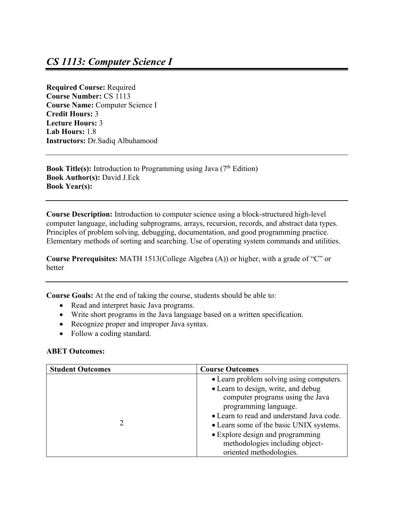**Required Course:** Required **Course Number:** CS 1113 **Course Name:** Computer Science I **Credit Hours:** 3 **Lecture Hours:** 3 **Lab Hours:** 1.8 **Instructors:** Dr.Sadiq Albuhamood

**Book Title(s):** Introduction to Programming using Java (7<sup>th</sup> Edition) **Book Author(s):** David J.Eck **Book Year(s):**

**Course Description:** Introduction to computer science using a block-structured high-level computer language, including subprograms, arrays, recursion, records, and abstract data types. Principles of problem solving, debugging, documentation, and good programming practice. Elementary methods of sorting and searching. Use of operating system commands and utilities.

**Course Prerequisites:** MATH 1513(College Algebra (A)) or higher, with a grade of "C" or better

**Course Goals:** At the end of taking the course, students should be able to:

- Read and interpret basic Java programs.
- Write short programs in the Java language based on a written specification.
- Recognize proper and improper Java syntax.
- Follow a coding standard.

## **ABET Outcomes:**

| <b>Student Outcomes</b> | <b>Course Outcomes</b>                    |
|-------------------------|-------------------------------------------|
|                         | • Learn problem solving using computers.  |
|                         | • Learn to design, write, and debug       |
|                         | computer programs using the Java          |
| $\mathcal{D}$           | programming language.                     |
|                         | • Learn to read and understand Java code. |
|                         | • Learn some of the basic UNIX systems.   |
|                         | • Explore design and programming          |
|                         | methodologies including object-           |
|                         | oriented methodologies.                   |